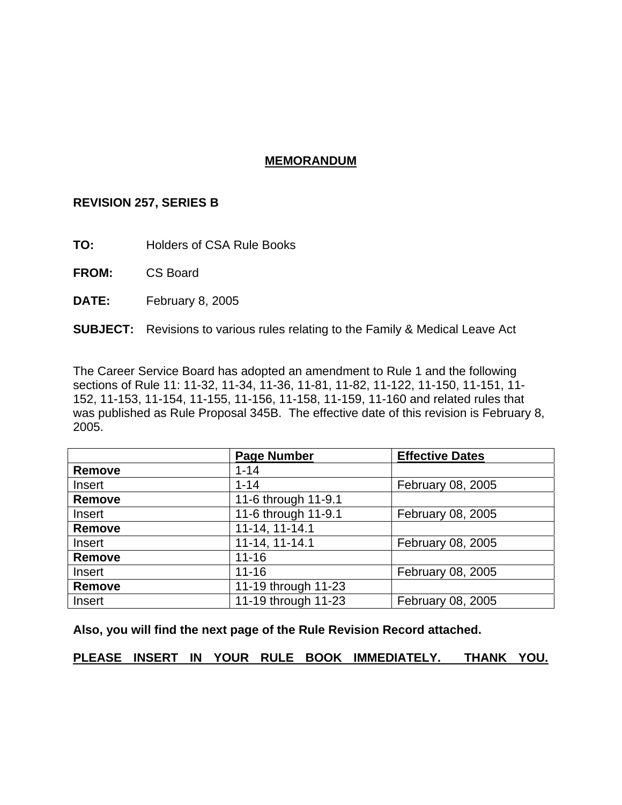# **MEMORANDUM**

# **REVISION 257, SERIES B**

**TO:** Holders of CSA Rule Books

**FROM:** CS Board

**DATE:** February 8, 2005

# **SUBJECT:** Revisions to various rules relating to the Family & Medical Leave Act

The Career Service Board has adopted an amendment to Rule 1 and the following sections of Rule 11: 11-32, 11-34, 11-36, 11-81, 11-82, 11-122, 11-150, 11-151, 11- 152, 11-153, 11-154, 11-155, 11-156, 11-158, 11-159, 11-160 and related rules that was published as Rule Proposal 345B. The effective date of this revision is February 8, 2005.

|               | <b>Page Number</b>             | <b>Effective Dates</b> |  |  |  |
|---------------|--------------------------------|------------------------|--|--|--|
| <b>Remove</b> | $1 - 14$                       |                        |  |  |  |
| Insert        | $1 - 14$                       | February 08, 2005      |  |  |  |
| <b>Remove</b> | 11-6 through 11-9.1            |                        |  |  |  |
| Insert        | 11-6 through 11-9.1            | February 08, 2005      |  |  |  |
| <b>Remove</b> | 11-14, 11-14.1                 |                        |  |  |  |
| Insert        | 11-14, 11-14.1                 | February 08, 2005      |  |  |  |
| <b>Remove</b> | $11 - 16$                      |                        |  |  |  |
| Insert        | $11 - 16$<br>February 08, 2005 |                        |  |  |  |
| <b>Remove</b> | 11-19 through 11-23            |                        |  |  |  |
| Insert        | 11-19 through 11-23            | February 08, 2005      |  |  |  |

**Also, you will find the next page of the Rule Revision Record attached.** 

**PLEASE INSERT IN YOUR RULE BOOK IMMEDIATELY. THANK YOU.**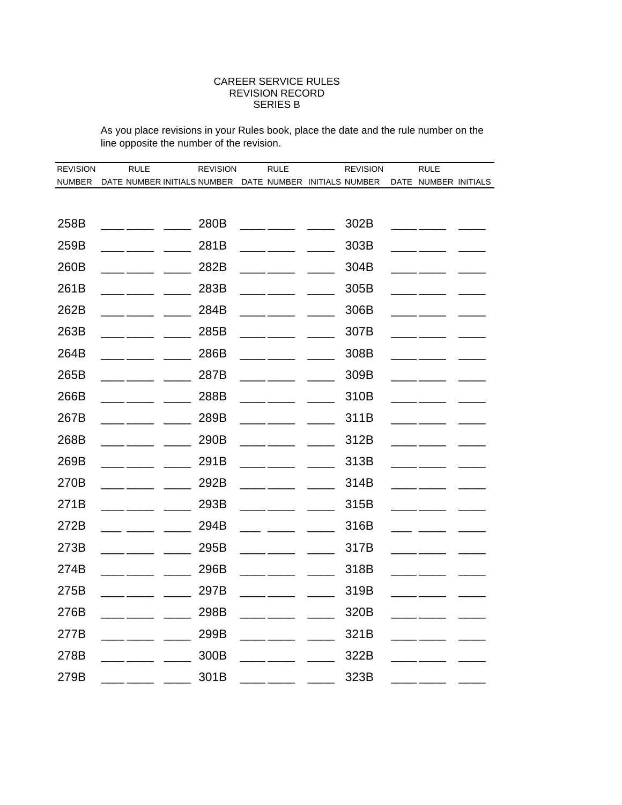#### CAREER SERVICE RULES REVISION RECORD SERIES B

As you place revisions in your Rules book, place the date and the rule number on the line opposite the number of the revision.

| <b>REVISION</b> | <b>RULE</b>                                             | <b>REVISION</b> | <b>RULE</b> | <b>REVISION</b> | <b>RULE</b>          |  |
|-----------------|---------------------------------------------------------|-----------------|-------------|-----------------|----------------------|--|
| <b>NUMBER</b>   | DATE NUMBER INITIALS NUMBER DATE NUMBER INITIALS NUMBER |                 |             |                 | DATE NUMBER INITIALS |  |
|                 |                                                         |                 |             |                 |                      |  |
| 258B            |                                                         | 280B            |             | 302B            |                      |  |
| 259B            |                                                         | 281B            |             | 303B            |                      |  |
| 260B            |                                                         | 282B            |             | 304B            |                      |  |
| 261B            |                                                         | 283B            |             | 305B            |                      |  |
| 262B            |                                                         | 284B            |             | 306B            |                      |  |
| 263B            |                                                         | 285B            |             | 307B            |                      |  |
| 264B            |                                                         | 286B            |             | 308B            |                      |  |
| 265B            |                                                         | 287B            |             | 309B            |                      |  |
| 266B            |                                                         | 288B            |             | 310B            |                      |  |
| 267B            |                                                         | 289B            |             | 311B            |                      |  |
| 268B            |                                                         | 290B            |             | 312B            |                      |  |
| 269B            |                                                         | 291B            |             | 313B            |                      |  |
| 270B            |                                                         | 292B            |             | 314B            |                      |  |
| 271B            |                                                         | 293B            |             | 315B            |                      |  |
| 272B            |                                                         | 294B            |             | 316B            |                      |  |
| 273B            |                                                         | 295B            |             | 317B            |                      |  |
| 274B            |                                                         | 296B            |             | 318B            |                      |  |
| 275B            |                                                         | 297B            |             | 319B            |                      |  |
| 276B            |                                                         | 298B            |             | 320B            |                      |  |
| 277B            |                                                         | 299B            |             | 321B            |                      |  |
| 278B            |                                                         | 300B            |             | 322B            |                      |  |
| 279B            |                                                         | 301B            |             | 323B            |                      |  |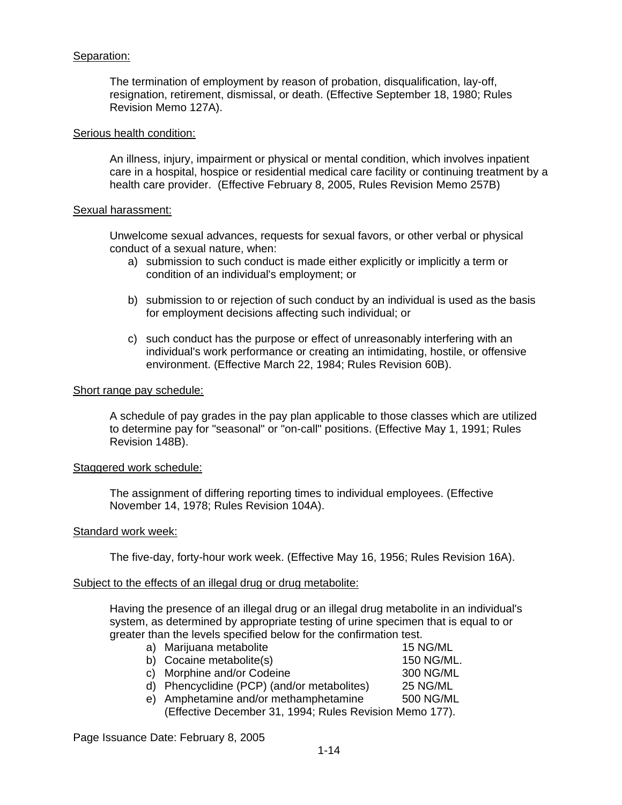## Separation:

The termination of employment by reason of probation, disqualification, lay-off, resignation, retirement, dismissal, or death. (Effective September 18, 1980; Rules Revision Memo 127A).

#### Serious health condition:

An illness, injury, impairment or physical or mental condition, which involves inpatient care in a hospital, hospice or residential medical care facility or continuing treatment by a health care provider. (Effective February 8, 2005, Rules Revision Memo 257B)

#### Sexual harassment:

Unwelcome sexual advances, requests for sexual favors, or other verbal or physical conduct of a sexual nature, when:

- a) submission to such conduct is made either explicitly or implicitly a term or condition of an individual's employment; or
- b) submission to or rejection of such conduct by an individual is used as the basis for employment decisions affecting such individual; or
- c) such conduct has the purpose or effect of unreasonably interfering with an individual's work performance or creating an intimidating, hostile, or offensive environment. (Effective March 22, 1984; Rules Revision 60B).

#### Short range pay schedule:

A schedule of pay grades in the pay plan applicable to those classes which are utilized to determine pay for "seasonal" or "on-call" positions. (Effective May 1, 1991; Rules Revision 148B).

#### Staggered work schedule:

The assignment of differing reporting times to individual employees. (Effective November 14, 1978; Rules Revision 104A).

#### Standard work week:

The five-day, forty-hour work week. (Effective May 16, 1956; Rules Revision 16A).

#### Subject to the effects of an illegal drug or drug metabolite:

Having the presence of an illegal drug or an illegal drug metabolite in an individual's system, as determined by appropriate testing of urine specimen that is equal to or greater than the levels specified below for the confirmation test.

| 15 NG/ML                                                                                                                                                                                                                             |
|--------------------------------------------------------------------------------------------------------------------------------------------------------------------------------------------------------------------------------------|
| 150 NG/ML.                                                                                                                                                                                                                           |
| 300 NG/ML                                                                                                                                                                                                                            |
| 25 NG/ML                                                                                                                                                                                                                             |
| 500 NG/ML                                                                                                                                                                                                                            |
|                                                                                                                                                                                                                                      |
| a) Marijuana metabolite<br>b) Cocaine metabolite(s)<br>c) Morphine and/or Codeine<br>d) Phencyclidine (PCP) (and/or metabolites)<br>e) Amphetamine and/or methamphetamine<br>(Effective December 31, 1994; Rules Revision Memo 177). |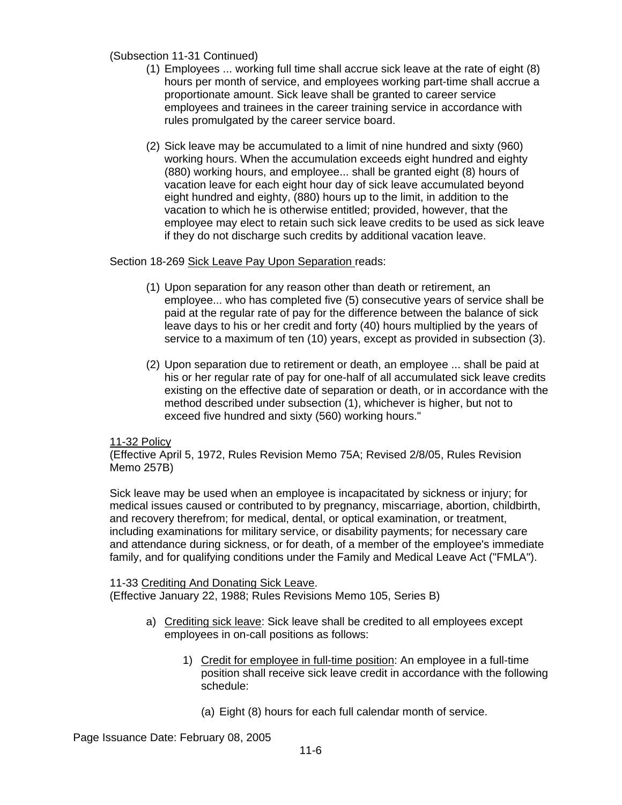(Subsection 11-31 Continued)

- (1) Employees ... working full time shall accrue sick leave at the rate of eight (8) hours per month of service, and employees working part-time shall accrue a proportionate amount. Sick leave shall be granted to career service employees and trainees in the career training service in accordance with rules promulgated by the career service board.
- (2) Sick leave may be accumulated to a limit of nine hundred and sixty (960) working hours. When the accumulation exceeds eight hundred and eighty (880) working hours, and employee... shall be granted eight (8) hours of vacation leave for each eight hour day of sick leave accumulated beyond eight hundred and eighty, (880) hours up to the limit, in addition to the vacation to which he is otherwise entitled; provided, however, that the employee may elect to retain such sick leave credits to be used as sick leave if they do not discharge such credits by additional vacation leave.

## Section 18-269 Sick Leave Pay Upon Separation reads:

- (1) Upon separation for any reason other than death or retirement, an employee... who has completed five (5) consecutive years of service shall be paid at the regular rate of pay for the difference between the balance of sick leave days to his or her credit and forty (40) hours multiplied by the years of service to a maximum of ten (10) years, except as provided in subsection (3).
- (2) Upon separation due to retirement or death, an employee ... shall be paid at his or her regular rate of pay for one-half of all accumulated sick leave credits existing on the effective date of separation or death, or in accordance with the method described under subsection (1), whichever is higher, but not to exceed five hundred and sixty (560) working hours."

#### 11-32 Policy

(Effective April 5, 1972, Rules Revision Memo 75A; Revised 2/8/05, Rules Revision Memo 257B)

Sick leave may be used when an employee is incapacitated by sickness or injury; for medical issues caused or contributed to by pregnancy, miscarriage, abortion, childbirth, and recovery therefrom; for medical, dental, or optical examination, or treatment, including examinations for military service, or disability payments; for necessary care and attendance during sickness, or for death, of a member of the employee's immediate family, and for qualifying conditions under the Family and Medical Leave Act ("FMLA").

#### 11-33 Crediting And Donating Sick Leave.

(Effective January 22, 1988; Rules Revisions Memo 105, Series B)

- a) Crediting sick leave: Sick leave shall be credited to all employees except employees in on-call positions as follows:
	- 1) Credit for employee in full-time position: An employee in a full-time position shall receive sick leave credit in accordance with the following schedule:
		- (a) Eight (8) hours for each full calendar month of service.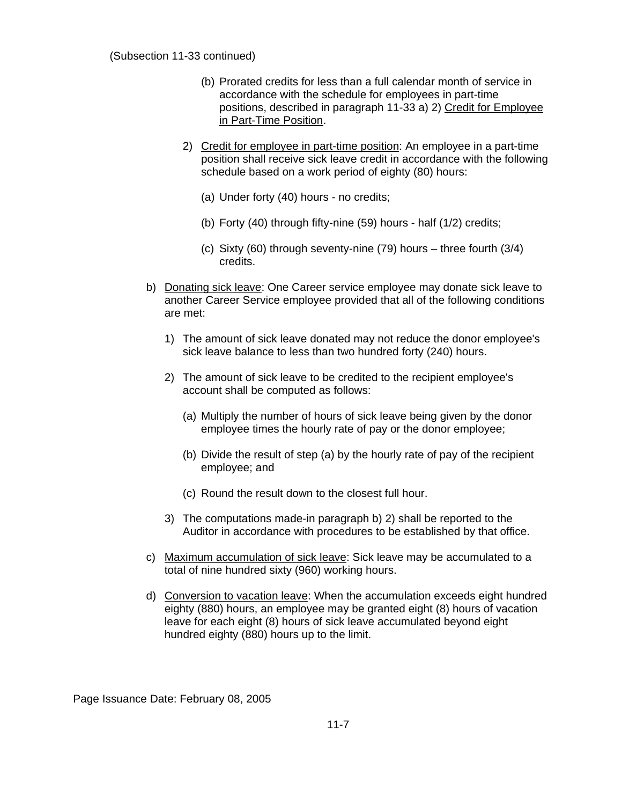#### (Subsection 11-33 continued)

- (b) Prorated credits for less than a full calendar month of service in accordance with the schedule for employees in part-time positions, described in paragraph 11-33 a) 2) Credit for Employee in Part-Time Position.
- 2) Credit for employee in part-time position: An employee in a part-time position shall receive sick leave credit in accordance with the following schedule based on a work period of eighty (80) hours:
	- (a) Under forty (40) hours no credits;
	- (b) Forty (40) through fifty-nine (59) hours half (1/2) credits;
	- (c) Sixty (60) through seventy-nine (79) hours three fourth (3/4) credits.
- b) Donating sick leave: One Career service employee may donate sick leave to another Career Service employee provided that all of the following conditions are met:
	- 1) The amount of sick leave donated may not reduce the donor employee's sick leave balance to less than two hundred forty (240) hours.
	- 2) The amount of sick leave to be credited to the recipient employee's account shall be computed as follows:
		- (a) Multiply the number of hours of sick leave being given by the donor employee times the hourly rate of pay or the donor employee;
		- (b) Divide the result of step (a) by the hourly rate of pay of the recipient employee; and
		- (c) Round the result down to the closest full hour.
	- 3) The computations made-in paragraph b) 2) shall be reported to the Auditor in accordance with procedures to be established by that office.
- c) Maximum accumulation of sick leave: Sick leave may be accumulated to a total of nine hundred sixty (960) working hours.
- d) Conversion to vacation leave: When the accumulation exceeds eight hundred eighty (880) hours, an employee may be granted eight (8) hours of vacation leave for each eight (8) hours of sick leave accumulated beyond eight hundred eighty (880) hours up to the limit.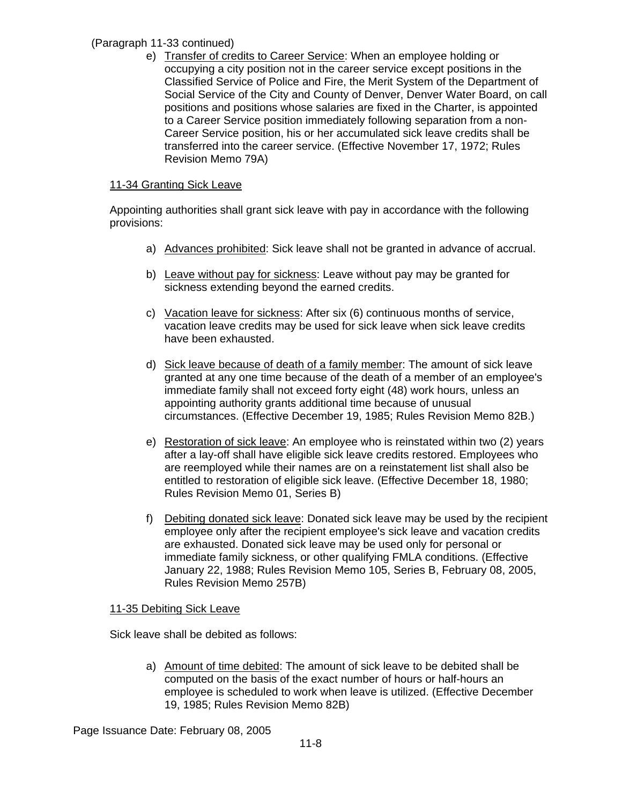# (Paragraph 11-33 continued)

e) Transfer of credits to Career Service: When an employee holding or occupying a city position not in the career service except positions in the Classified Service of Police and Fire, the Merit System of the Department of Social Service of the City and County of Denver, Denver Water Board, on call positions and positions whose salaries are fixed in the Charter, is appointed to a Career Service position immediately following separation from a non-Career Service position, his or her accumulated sick leave credits shall be transferred into the career service. (Effective November 17, 1972; Rules Revision Memo 79A)

# 11-34 Granting Sick Leave

Appointing authorities shall grant sick leave with pay in accordance with the following provisions:

- a) Advances prohibited: Sick leave shall not be granted in advance of accrual.
- b) Leave without pay for sickness: Leave without pay may be granted for sickness extending beyond the earned credits.
- c) Vacation leave for sickness: After six (6) continuous months of service, vacation leave credits may be used for sick leave when sick leave credits have been exhausted.
- d) Sick leave because of death of a family member: The amount of sick leave granted at any one time because of the death of a member of an employee's immediate family shall not exceed forty eight (48) work hours, unless an appointing authority grants additional time because of unusual circumstances. (Effective December 19, 1985; Rules Revision Memo 82B.)
- e) Restoration of sick leave: An employee who is reinstated within two (2) years after a lay-off shall have eligible sick leave credits restored. Employees who are reemployed while their names are on a reinstatement list shall also be entitled to restoration of eligible sick leave. (Effective December 18, 1980; Rules Revision Memo 01, Series B)
- f) Debiting donated sick leave: Donated sick leave may be used by the recipient employee only after the recipient employee's sick leave and vacation credits are exhausted. Donated sick leave may be used only for personal or immediate family sickness, or other qualifying FMLA conditions. (Effective January 22, 1988; Rules Revision Memo 105, Series B, February 08, 2005, Rules Revision Memo 257B)

# 11-35 Debiting Sick Leave

Sick leave shall be debited as follows:

a) Amount of time debited: The amount of sick leave to be debited shall be computed on the basis of the exact number of hours or half-hours an employee is scheduled to work when leave is utilized. (Effective December 19, 1985; Rules Revision Memo 82B)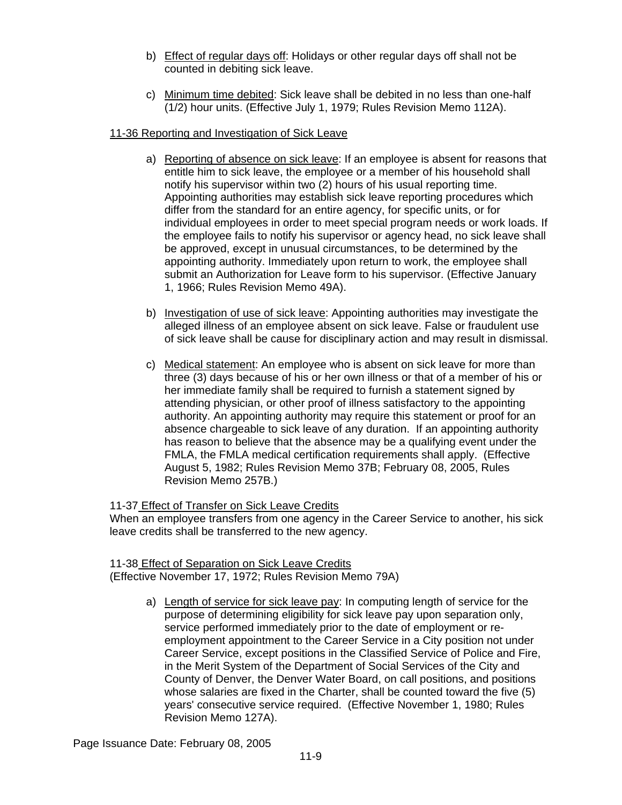- b) Effect of regular days off: Holidays or other regular days off shall not be counted in debiting sick leave.
- c) Minimum time debited: Sick leave shall be debited in no less than one-half (1/2) hour units. (Effective July 1, 1979; Rules Revision Memo 112A).

# 11-36 Reporting and Investigation of Sick Leave

- a) Reporting of absence on sick leave: If an employee is absent for reasons that entitle him to sick leave, the employee or a member of his household shall notify his supervisor within two (2) hours of his usual reporting time. Appointing authorities may establish sick leave reporting procedures which differ from the standard for an entire agency, for specific units, or for individual employees in order to meet special program needs or work loads. If the employee fails to notify his supervisor or agency head, no sick leave shall be approved, except in unusual circumstances, to be determined by the appointing authority. Immediately upon return to work, the employee shall submit an Authorization for Leave form to his supervisor. (Effective January 1, 1966; Rules Revision Memo 49A).
- b) Investigation of use of sick leave: Appointing authorities may investigate the alleged illness of an employee absent on sick leave. False or fraudulent use of sick leave shall be cause for disciplinary action and may result in dismissal.
- c) Medical statement: An employee who is absent on sick leave for more than three (3) days because of his or her own illness or that of a member of his or her immediate family shall be required to furnish a statement signed by attending physician, or other proof of illness satisfactory to the appointing authority. An appointing authority may require this statement or proof for an absence chargeable to sick leave of any duration. If an appointing authority has reason to believe that the absence may be a qualifying event under the FMLA, the FMLA medical certification requirements shall apply. (Effective August 5, 1982; Rules Revision Memo 37B; February 08, 2005, Rules Revision Memo 257B.)

11-37 Effect of Transfer on Sick Leave Credits

When an employee transfers from one agency in the Career Service to another, his sick leave credits shall be transferred to the new agency.

11-38 Effect of Separation on Sick Leave Credits (Effective November 17, 1972; Rules Revision Memo 79A)

> a) Length of service for sick leave pay: In computing length of service for the purpose of determining eligibility for sick leave pay upon separation only, service performed immediately prior to the date of employment or reemployment appointment to the Career Service in a City position not under Career Service, except positions in the Classified Service of Police and Fire, in the Merit System of the Department of Social Services of the City and County of Denver, the Denver Water Board, on call positions, and positions whose salaries are fixed in the Charter, shall be counted toward the five (5) years' consecutive service required. (Effective November 1, 1980; Rules Revision Memo 127A).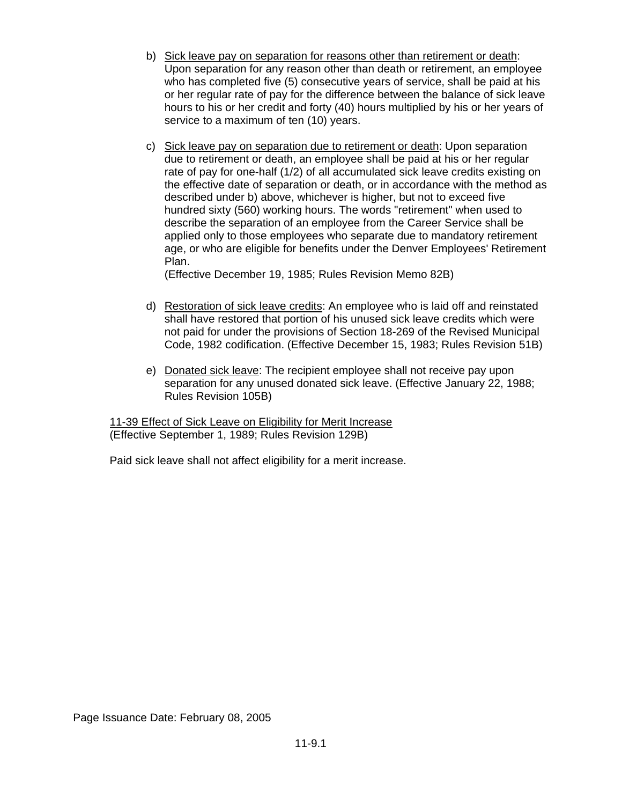- b) Sick leave pay on separation for reasons other than retirement or death: Upon separation for any reason other than death or retirement, an employee who has completed five (5) consecutive years of service, shall be paid at his or her regular rate of pay for the difference between the balance of sick leave hours to his or her credit and forty (40) hours multiplied by his or her years of service to a maximum of ten (10) years.
- c) Sick leave pay on separation due to retirement or death: Upon separation due to retirement or death, an employee shall be paid at his or her regular rate of pay for one-half (1/2) of all accumulated sick leave credits existing on the effective date of separation or death, or in accordance with the method as described under b) above, whichever is higher, but not to exceed five hundred sixty (560) working hours. The words "retirement" when used to describe the separation of an employee from the Career Service shall be applied only to those employees who separate due to mandatory retirement age, or who are eligible for benefits under the Denver Employees' Retirement Plan.

(Effective December 19, 1985; Rules Revision Memo 82B)

- d) Restoration of sick leave credits: An employee who is laid off and reinstated shall have restored that portion of his unused sick leave credits which were not paid for under the provisions of Section 18-269 of the Revised Municipal Code, 1982 codification. (Effective December 15, 1983; Rules Revision 51B)
- e) Donated sick leave: The recipient employee shall not receive pay upon separation for any unused donated sick leave. (Effective January 22, 1988; Rules Revision 105B)

11-39 Effect of Sick Leave on Eligibility for Merit Increase (Effective September 1, 1989; Rules Revision 129B)

Paid sick leave shall not affect eligibility for a merit increase.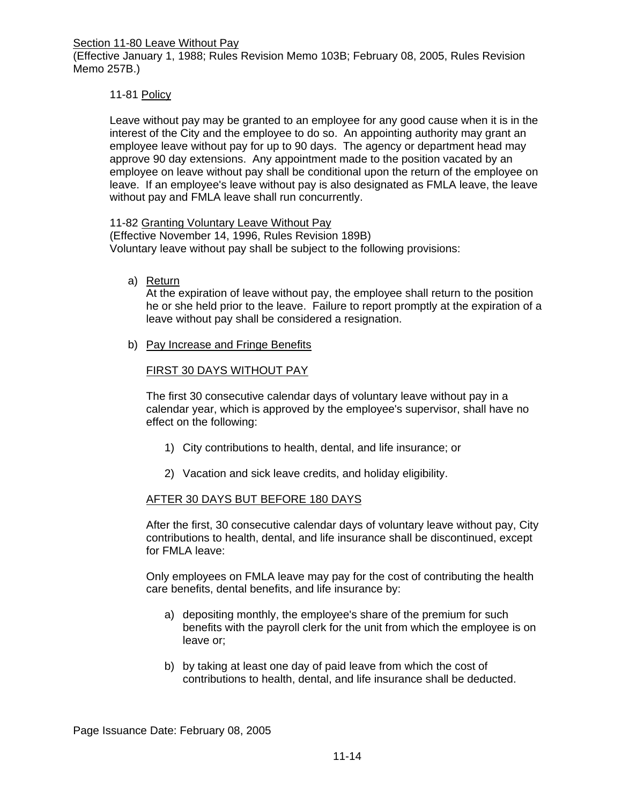Section 11-80 Leave Without Pay

(Effective January 1, 1988; Rules Revision Memo 103B; February 08, 2005, Rules Revision Memo 257B.)

## 11-81 Policy

Leave without pay may be granted to an employee for any good cause when it is in the interest of the City and the employee to do so. An appointing authority may grant an employee leave without pay for up to 90 days. The agency or department head may approve 90 day extensions. Any appointment made to the position vacated by an employee on leave without pay shall be conditional upon the return of the employee on leave. If an employee's leave without pay is also designated as FMLA leave, the leave without pay and FMLA leave shall run concurrently.

#### 11-82 Granting Voluntary Leave Without Pay

(Effective November 14, 1996, Rules Revision 189B) Voluntary leave without pay shall be subject to the following provisions:

#### a) Return

At the expiration of leave without pay, the employee shall return to the position he or she held prior to the leave. Failure to report promptly at the expiration of a leave without pay shall be considered a resignation.

b) Pay Increase and Fringe Benefits

## FIRST 30 DAYS WITHOUT PAY

The first 30 consecutive calendar days of voluntary leave without pay in a calendar year, which is approved by the employee's supervisor, shall have no effect on the following:

- 1) City contributions to health, dental, and life insurance; or
- 2) Vacation and sick leave credits, and holiday eligibility.

#### AFTER 30 DAYS BUT BEFORE 180 DAYS

After the first, 30 consecutive calendar days of voluntary leave without pay, City contributions to health, dental, and life insurance shall be discontinued, except for FMLA leave:

Only employees on FMLA leave may pay for the cost of contributing the health care benefits, dental benefits, and life insurance by:

- a) depositing monthly, the employee's share of the premium for such benefits with the payroll clerk for the unit from which the employee is on leave or;
- b) by taking at least one day of paid leave from which the cost of contributions to health, dental, and life insurance shall be deducted.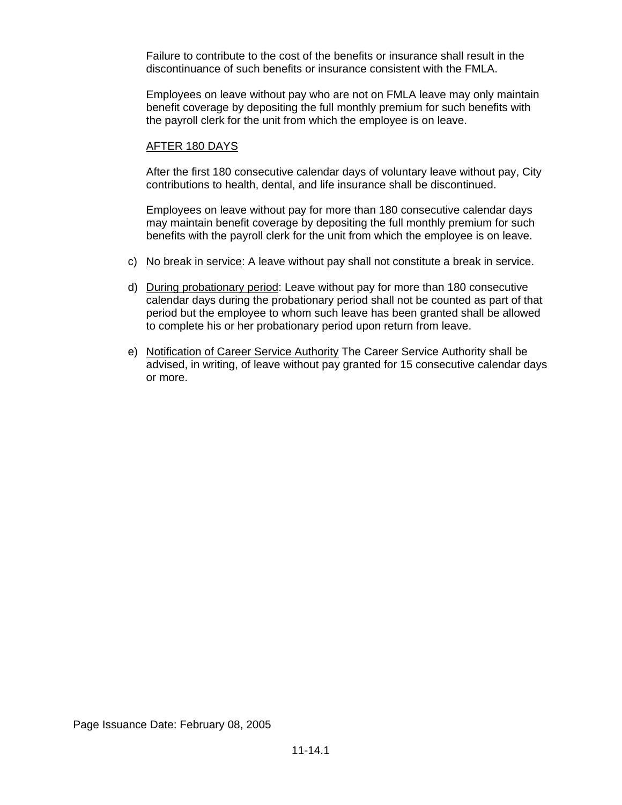Failure to contribute to the cost of the benefits or insurance shall result in the discontinuance of such benefits or insurance consistent with the FMLA.

Employees on leave without pay who are not on FMLA leave may only maintain benefit coverage by depositing the full monthly premium for such benefits with the payroll clerk for the unit from which the employee is on leave.

### AFTER 180 DAYS

After the first 180 consecutive calendar days of voluntary leave without pay, City contributions to health, dental, and life insurance shall be discontinued.

Employees on leave without pay for more than 180 consecutive calendar days may maintain benefit coverage by depositing the full monthly premium for such benefits with the payroll clerk for the unit from which the employee is on leave.

- c) No break in service: A leave without pay shall not constitute a break in service.
- d) During probationary period: Leave without pay for more than 180 consecutive calendar days during the probationary period shall not be counted as part of that period but the employee to whom such leave has been granted shall be allowed to complete his or her probationary period upon return from leave.
- e) Notification of Career Service Authority The Career Service Authority shall be advised, in writing, of leave without pay granted for 15 consecutive calendar days or more.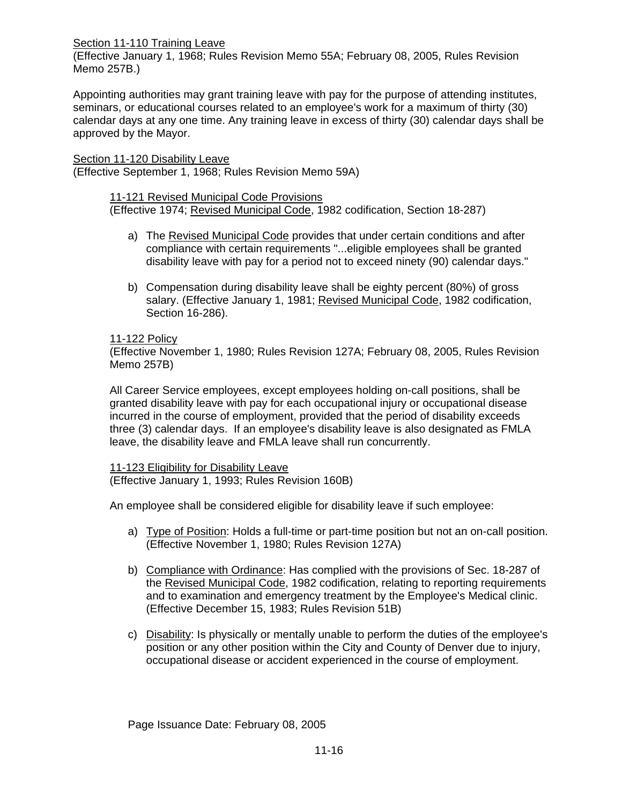#### Section 11-110 Training Leave

(Effective January 1, 1968; Rules Revision Memo 55A; February 08, 2005, Rules Revision Memo 257B.)

Appointing authorities may grant training leave with pay for the purpose of attending institutes, seminars, or educational courses related to an employee's work for a maximum of thirty (30) calendar days at any one time. Any training leave in excess of thirty (30) calendar days shall be approved by the Mayor.

Section 11-120 Disability Leave (Effective September 1, 1968; Rules Revision Memo 59A)

# 11-121 Revised Municipal Code Provisions

(Effective 1974; Revised Municipal Code, 1982 codification, Section 18-287)

- a) The Revised Municipal Code provides that under certain conditions and after compliance with certain requirements "...eligible employees shall be granted disability leave with pay for a period not to exceed ninety (90) calendar days."
- b) Compensation during disability leave shall be eighty percent (80%) of gross salary. (Effective January 1, 1981; Revised Municipal Code, 1982 codification, Section 16-286).

## 11-122 Policy

(Effective November 1, 1980; Rules Revision 127A; February 08, 2005, Rules Revision Memo 257B)

All Career Service employees, except employees holding on-call positions, shall be granted disability leave with pay for each occupational injury or occupational disease incurred in the course of employment, provided that the period of disability exceeds three (3) calendar days. If an employee's disability leave is also designated as FMLA leave, the disability leave and FMLA leave shall run concurrently.

#### 11-123 Eligibility for Disability Leave

(Effective January 1, 1993; Rules Revision 160B)

An employee shall be considered eligible for disability leave if such employee:

- a) Type of Position: Holds a full-time or part-time position but not an on-call position. (Effective November 1, 1980; Rules Revision 127A)
- b) Compliance with Ordinance: Has complied with the provisions of Sec. 18-287 of the Revised Municipal Code, 1982 codification, relating to reporting requirements and to examination and emergency treatment by the Employee's Medical clinic. (Effective December 15, 1983; Rules Revision 51B)
- c) Disability: Is physically or mentally unable to perform the duties of the employee's position or any other position within the City and County of Denver due to injury, occupational disease or accident experienced in the course of employment.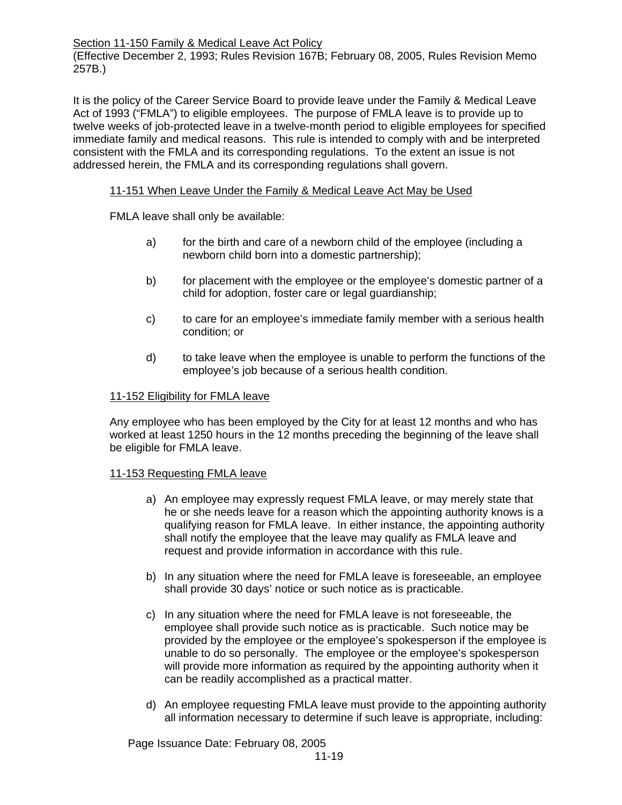Section 11-150 Family & Medical Leave Act Policy

(Effective December 2, 1993; Rules Revision 167B; February 08, 2005, Rules Revision Memo 257B.)

It is the policy of the Career Service Board to provide leave under the Family & Medical Leave Act of 1993 ("FMLA") to eligible employees. The purpose of FMLA leave is to provide up to twelve weeks of job-protected leave in a twelve-month period to eligible employees for specified immediate family and medical reasons. This rule is intended to comply with and be interpreted consistent with the FMLA and its corresponding regulations. To the extent an issue is not addressed herein, the FMLA and its corresponding regulations shall govern.

## 11-151 When Leave Under the Family & Medical Leave Act May be Used

FMLA leave shall only be available:

- a) for the birth and care of a newborn child of the employee (including a newborn child born into a domestic partnership);
- b) for placement with the employee or the employee's domestic partner of a child for adoption, foster care or legal guardianship;
- c) to care for an employee's immediate family member with a serious health condition; or
- d) to take leave when the employee is unable to perform the functions of the employee's job because of a serious health condition.

## 11-152 Eligibility for FMLA leave

Any employee who has been employed by the City for at least 12 months and who has worked at least 1250 hours in the 12 months preceding the beginning of the leave shall be eligible for FMLA leave.

#### 11-153 Requesting FMLA leave

- a) An employee may expressly request FMLA leave, or may merely state that he or she needs leave for a reason which the appointing authority knows is a qualifying reason for FMLA leave. In either instance, the appointing authority shall notify the employee that the leave may qualify as FMLA leave and request and provide information in accordance with this rule.
- b) In any situation where the need for FMLA leave is foreseeable, an employee shall provide 30 days' notice or such notice as is practicable.
- c) In any situation where the need for FMLA leave is not foreseeable, the employee shall provide such notice as is practicable. Such notice may be provided by the employee or the employee's spokesperson if the employee is unable to do so personally. The employee or the employee's spokesperson will provide more information as required by the appointing authority when it can be readily accomplished as a practical matter.
- d) An employee requesting FMLA leave must provide to the appointing authority all information necessary to determine if such leave is appropriate, including: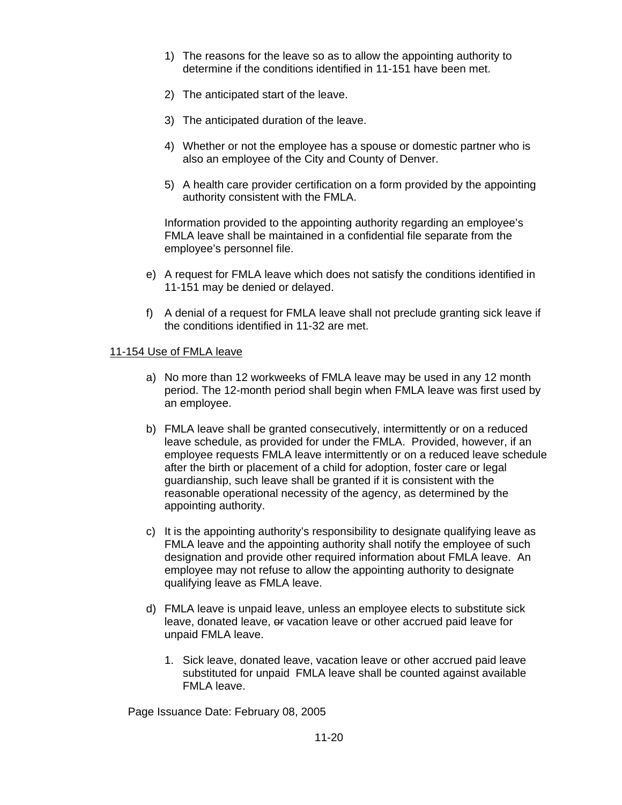- 1) The reasons for the leave so as to allow the appointing authority to determine if the conditions identified in 11-151 have been met.
- 2) The anticipated start of the leave.
- 3) The anticipated duration of the leave.
- 4) Whether or not the employee has a spouse or domestic partner who is also an employee of the City and County of Denver.
- 5) A health care provider certification on a form provided by the appointing authority consistent with the FMLA.

Information provided to the appointing authority regarding an employee's FMLA leave shall be maintained in a confidential file separate from the employee's personnel file.

- e) A request for FMLA leave which does not satisfy the conditions identified in 11-151 may be denied or delayed.
- f) A denial of a request for FMLA leave shall not preclude granting sick leave if the conditions identified in 11-32 are met.

#### 11-154 Use of FMLA leave

- a) No more than 12 workweeks of FMLA leave may be used in any 12 month period. The 12-month period shall begin when FMLA leave was first used by an employee.
- b) FMLA leave shall be granted consecutively, intermittently or on a reduced leave schedule, as provided for under the FMLA. Provided, however, if an employee requests FMLA leave intermittently or on a reduced leave schedule after the birth or placement of a child for adoption, foster care or legal guardianship, such leave shall be granted if it is consistent with the reasonable operational necessity of the agency, as determined by the appointing authority.
- c) It is the appointing authority's responsibility to designate qualifying leave as FMLA leave and the appointing authority shall notify the employee of such designation and provide other required information about FMLA leave.An employee may not refuse to allow the appointing authority to designate qualifying leave as FMLA leave.
- d) FMLA leave is unpaid leave, unless an employee elects to substitute sick leave, donated leave, or vacation leave or other accrued paid leave for unpaid FMLA leave.
	- 1. Sick leave, donated leave, vacation leave or other accrued paid leave substituted for unpaid FMLA leave shall be counted against available FMLA leave.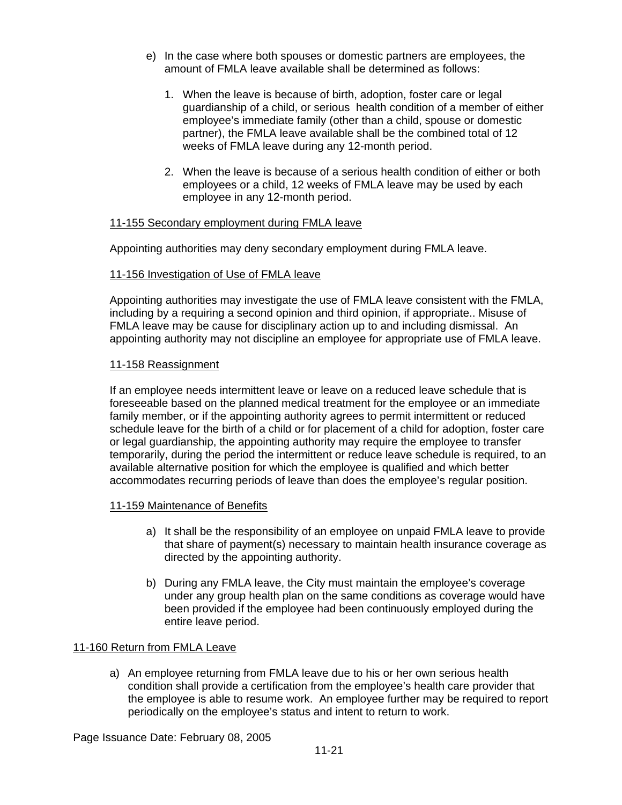- e) In the case where both spouses or domestic partners are employees, the amount of FMLA leave available shall be determined as follows:
	- 1. When the leave is because of birth, adoption, foster care or legal guardianship of a child, or serious health condition of a member of either employee's immediate family (other than a child, spouse or domestic partner), the FMLA leave available shall be the combined total of 12 weeks of FMLA leave during any 12-month period.
	- 2. When the leave is because of a serious health condition of either or both employees or a child, 12 weeks of FMLA leave may be used by each employee in any 12-month period.

## 11-155 Secondary employment during FMLA leave

Appointing authorities may deny secondary employment during FMLA leave.

## 11-156 Investigation of Use of FMLA leave

Appointing authorities may investigate the use of FMLA leave consistent with the FMLA, including by a requiring a second opinion and third opinion, if appropriate.. Misuse of FMLA leave may be cause for disciplinary action up to and including dismissal. An appointing authority may not discipline an employee for appropriate use of FMLA leave.

## 11-158 Reassignment

If an employee needs intermittent leave or leave on a reduced leave schedule that is foreseeable based on the planned medical treatment for the employee or an immediate family member, or if the appointing authority agrees to permit intermittent or reduced schedule leave for the birth of a child or for placement of a child for adoption, foster care or legal guardianship, the appointing authority may require the employee to transfer temporarily, during the period the intermittent or reduce leave schedule is required, to an available alternative position for which the employee is qualified and which better accommodates recurring periods of leave than does the employee's regular position.

#### 11-159 Maintenance of Benefits

- a) It shall be the responsibility of an employee on unpaid FMLA leave to provide that share of payment(s) necessary to maintain health insurance coverage as directed by the appointing authority.
- b) During any FMLA leave, the City must maintain the employee's coverage under any group health plan on the same conditions as coverage would have been provided if the employee had been continuously employed during the entire leave period.

# 11-160 Return from FMLA Leave

a) An employee returning from FMLA leave due to his or her own serious health condition shall provide a certification from the employee's health care provider that the employee is able to resume work. An employee further may be required to report periodically on the employee's status and intent to return to work.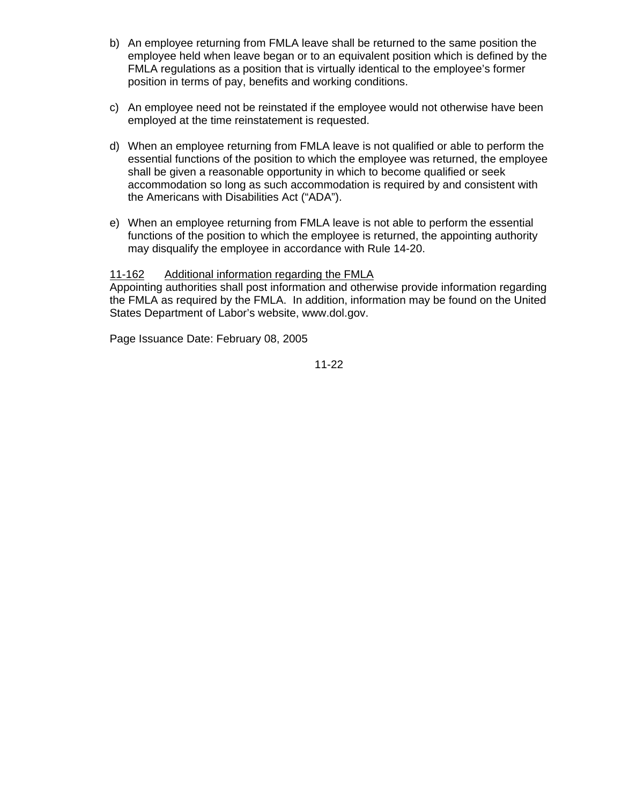- b) An employee returning from FMLA leave shall be returned to the same position the employee held when leave began or to an equivalent position which is defined by the FMLA regulations as a position that is virtually identical to the employee's former position in terms of pay, benefits and working conditions.
- c) An employee need not be reinstated if the employee would not otherwise have been employed at the time reinstatement is requested.
- d) When an employee returning from FMLA leave is not qualified or able to perform the essential functions of the position to which the employee was returned, the employee shall be given a reasonable opportunity in which to become qualified or seek accommodation so long as such accommodation is required by and consistent with the Americans with Disabilities Act ("ADA").
- e) When an employee returning from FMLA leave is not able to perform the essential functions of the position to which the employee is returned, the appointing authority may disqualify the employee in accordance with Rule 14-20.

# 11-162 Additional information regarding the FMLA

Appointing authorities shall post information and otherwise provide information regarding the FMLA as required by the FMLA. In addition, information may be found on the United States Department of Labor's website, www.dol.gov.

Page Issuance Date: February 08, 2005

11-22